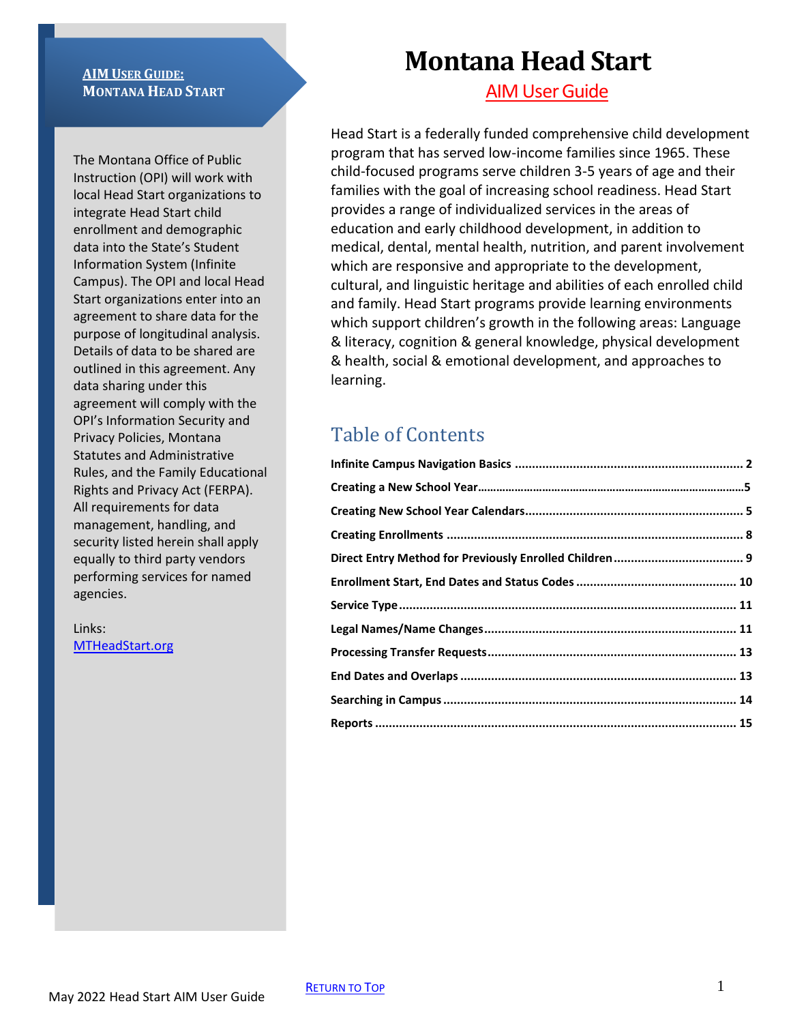#### **AIM USER GUIDE: MONTANA HEAD START**

The Montana Office of Public Instruction (OPI) will work with local Head Start organizations to integrate Head Start child enrollment and demographic data into the State's Student Information System (Infinite Campus). The OPI and local Head Start organizations enter into an agreement to share data for the purpose of longitudinal analysis. Details of data to be shared are outlined in this agreement. Any data sharing under this agreement will comply with the OPI's Information Security and Privacy Policies, Montana Statutes and Administrative Rules, and the Family Educational Rights and Privacy Act (FERPA). All requirements for data management, handling, and security listed herein shall apply equally to third party vendors performing services for named agencies.

Links: [MTHeadStart.org](http://mtheadstart.org/)

# **Montana Head Start**

**AIM User Guide** 

Head Start is a federally funded comprehensive child development program that has served low-income families since 1965. These child-focused programs serve children 3-5 years of age and their families with the goal of increasing school readiness. Head Start provides a range of individualized services in the areas of education and early childhood development, in addition to medical, dental, mental health, nutrition, and parent involvement which are responsive and appropriate to the development, cultural, and linguistic heritage and abilities of each enrolled child and family. Head Start programs provide learning environments which support children's growth in the following areas: Language & literacy, cognition & general knowledge, physical development & health, social & emotional development, and approaches to learning.

# Table of Contents

| Reports …………………………………………………………………………………………… 15 |
|------------------------------------------------|
|                                                |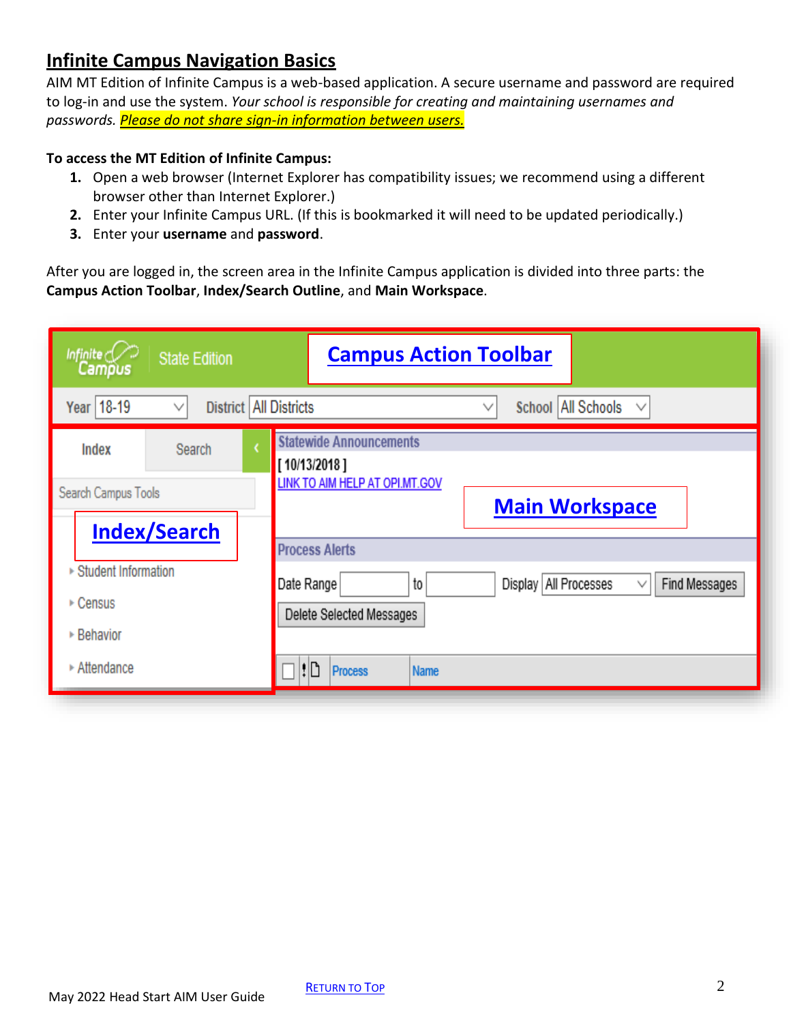#### <span id="page-1-0"></span>**Infinite Campus Navigation Basics**

AIM MT Edition of Infinite Campus is a web-based application. A secure username and password are required to log-in and use the system. *Your school is responsible for creating and maintaining usernames and passwords. Please do not share sign-in information between users.*

#### **To access the MT Edition of Infinite Campus:**

- **1.** Open a web browser (Internet Explorer has compatibility issues; we recommend using a different browser other than Internet Explorer.)
- **2.** Enter your Infinite Campus URL. (If this is bookmarked it will need to be updated periodically.)
- **3.** Enter your **username** and **password**.

After you are logged in, the screen area in the Infinite Campus application is divided into three parts: the **Campus Action Toolbar**, **Index/Search Outline**, and **Main Workspace**.

| Infinite $\bigcirc$<br><b>State Edition</b><br>Campus | <b>Campus Action Toolbar</b>                                                                  |
|-------------------------------------------------------|-----------------------------------------------------------------------------------------------|
| Year   18-19<br>District   All Districts              | School All Schools<br>$\checkmark$                                                            |
| Index<br>Search                                       | <b>Statewide Announcements</b><br>[10/13/2018]                                                |
| Search Campus Tools                                   | LINK TO AIM HELP AT OPI.MT.GOV<br><b>Main Workspace</b>                                       |
| <b>Index/Search</b>                                   | <b>Process Alerts</b>                                                                         |
| ▶ Student Information<br>$\triangleright$ Census      | Display   All Processes<br>Find Messages<br>Date Range<br>to<br>∨<br>Delete Selected Messages |
| ▶ Behavior                                            |                                                                                               |
| ▶ Attendance                                          | ۱D<br><b>Process</b><br><b>Name</b>                                                           |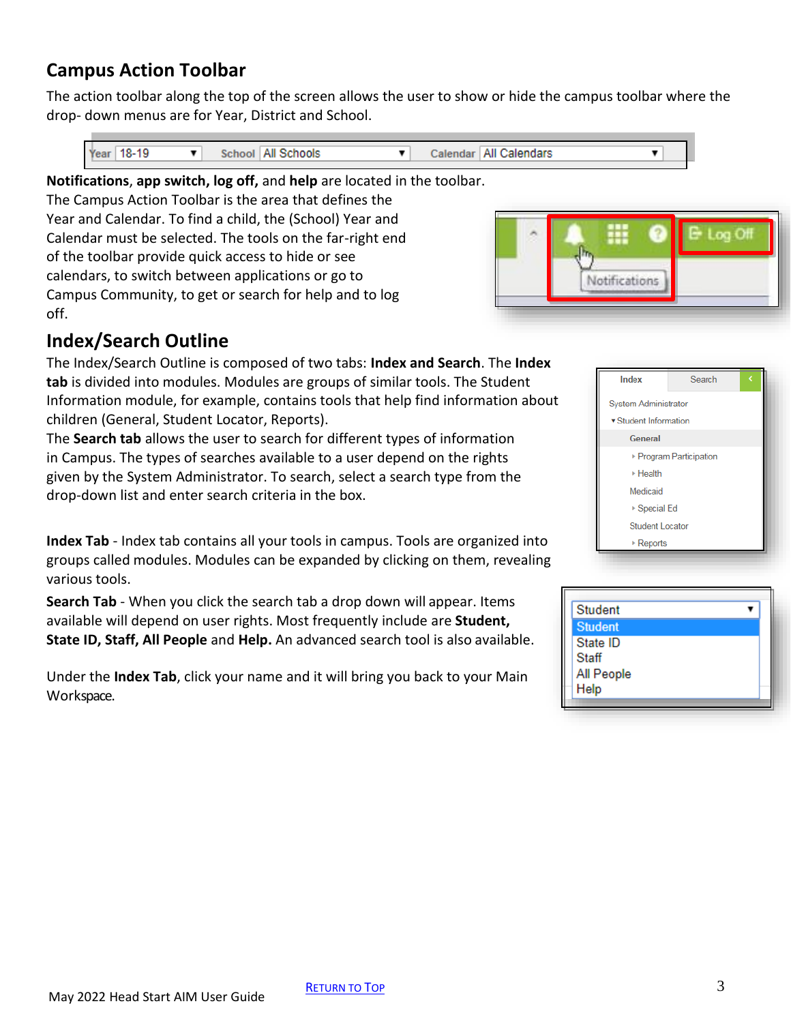### **Campus Action Toolbar**

The action toolbar along the top of the screen allows the user to show or hide the campus toolbar where the drop- down menus are for Year, District and School.

| Year   18-19 | School   All Schools |  | Calendar   All Calendars |  |
|--------------|----------------------|--|--------------------------|--|
|              |                      |  |                          |  |

**Notifications**, **app switch, log off,** and **help** are located in the toolbar.

The Campus Action Toolbar is the area that defines the Year and Calendar. To find a child, the (School) Year and Calendar must be selected. The tools on the far-right end of the toolbar provide quick access to hide or see calendars, to switch between applications or go to Campus Community, to get or search for help and to log off.



### **Index/Search Outline**

The Index/Search Outline is composed of two tabs: **Index and Search**. The **Index tab** is divided into modules. Modules are groups of similar tools. The Student Information module, for example, contains tools that help find information about children (General, Student Locator, Reports).

The **Search tab** allows the user to search for different types of information in Campus. The types of searches available to a user depend on the rights given by the System Administrator. To search, select a search type from the drop-down list and enter search criteria in the box.

**Index Tab** - Index tab contains all your tools in campus. Tools are organized into groups called modules. Modules can be expanded by clicking on them, revealing various tools.

**Search Tab** - When you click the search tab a drop down will appear. Items available will depend on user rights. Most frequently include are **Student, State ID, Staff, All People** and **Help.** An advanced search tool is also available.

Under the **Index Tab**, click your name and it will bring you back to your Main Workspace.



| <b>Student</b> |  |
|----------------|--|
| <b>Student</b> |  |
| State ID       |  |
| <b>Staff</b>   |  |
| All People     |  |
| Help           |  |
|                |  |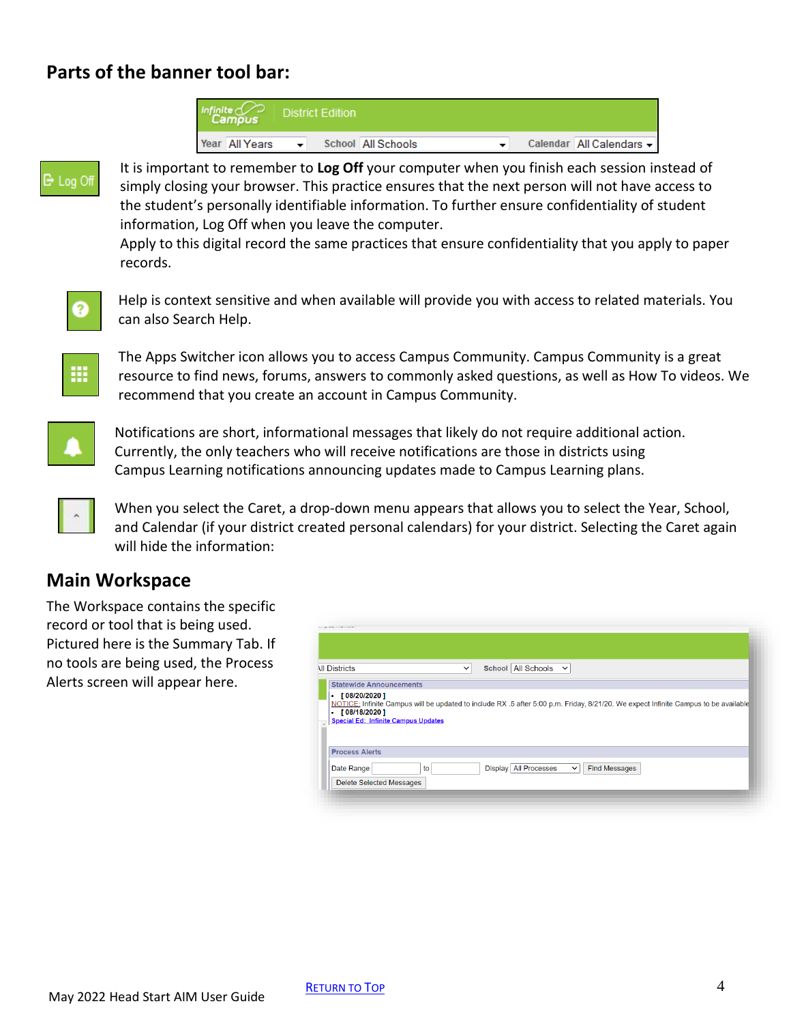### **Parts of the banner tool bar:**

| Infinite   District Edition |  |                    |  |                          |
|-----------------------------|--|--------------------|--|--------------------------|
| Year All Years              |  | School All Schools |  | Calendar All Calendars - |



It is important to remember to **Log Off** your computer when you finish each session instead of simply closing your browser. This practice ensures that the next person will not have access to the student's personally identifiable information. To further ensure confidentiality of student information, Log Off when you leave the computer.

Apply to this digital record the same practices that ensure confidentiality that you apply to paper records.



Help is context sensitive and when available will provide you with access to related materials. You can also Search Help.



The Apps Switcher icon allows you to access Campus Community. Campus Community is a great resource to find news, forums, answers to commonly asked questions, as well as How To videos. We recommend that you create an account in Campus Community.



Notifications are short, informational messages that likely do not require additional action. Currently, the only teachers who will receive notifications are those in districts using Campus Learning notifications announcing updates made to Campus Learning plans.



When you select the Caret, a drop-down menu appears that allows you to select the Year, School, and Calendar (if your district created personal calendars) for your district. Selecting the Caret again will hide the information:

#### **Main Workspace**

The Workspace contains the specific record or tool that is being used. Pictured here is the Summary Tab. If no tools are being used, the Process Alerts screen will appear here.

| <b>All Districts</b>                                                    | School All Schools V<br>$\check{~}$ |
|-------------------------------------------------------------------------|-------------------------------------|
| <b>Statewide Announcements</b>                                          |                                     |
| [08/18/2020]<br>$\bullet$<br><b>Special Ed: Infinite Campus Updates</b> |                                     |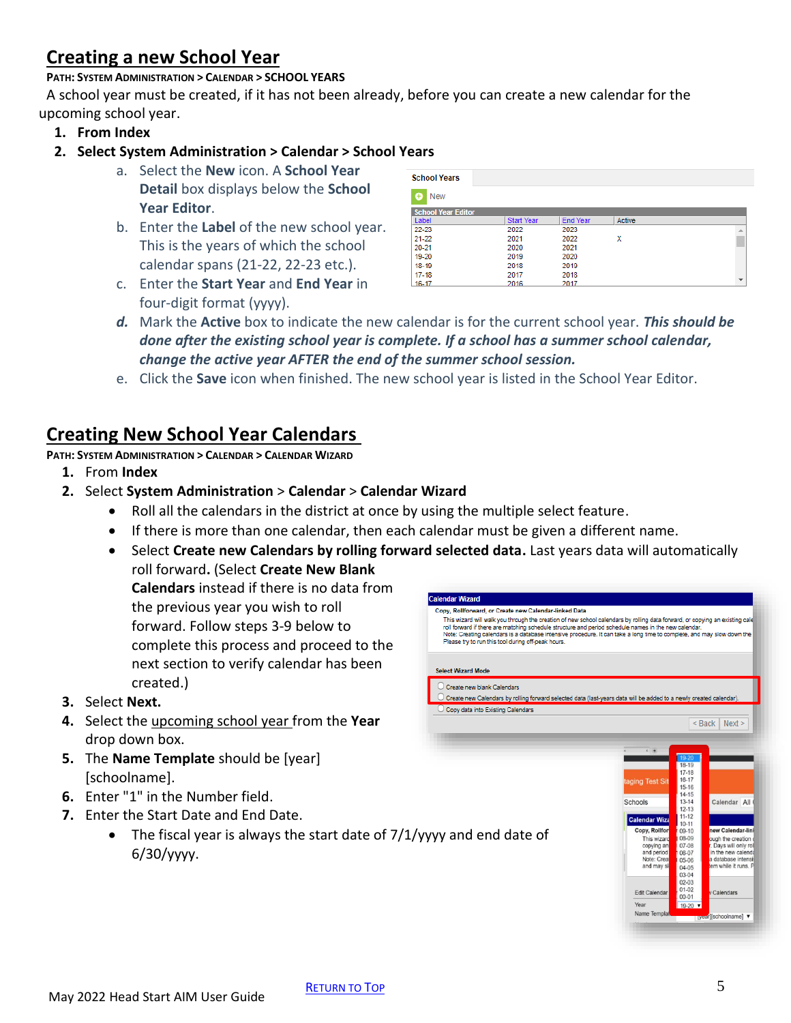# <span id="page-4-0"></span>**Creating a new School Year**

#### **PATH: SYSTEM ADMINISTRATION > CALENDAR > SCHOOL YEARS**

A school year must be created, if it has not been already, before you can create a new calendar for the upcoming school year.

**1. From Index**

#### **2. Select System Administration > Calendar > School Years**

- a. Select the **New** icon. A **School Year Detail** box displays below the **School Year Editor**.
- b. Enter the **Label** of the new school year. This is the years of which the school calendar spans (21-22, 22-23 etc.).
- c. Enter the **Start Year** and **End Year** in four-digit format (yyyy).

| <b>School Years</b>       |                   |                 |        |   |
|---------------------------|-------------------|-----------------|--------|---|
| <b>New</b><br>(+)         |                   |                 |        |   |
| <b>School Year Editor</b> |                   |                 |        |   |
| Label                     | <b>Start Year</b> | <b>End Year</b> | Active |   |
| 22-23                     | 2022              | 2023            |        | A |
| 21-22                     | 2021              | 2022            | х      |   |
| 20-21                     | 2020              | 2021            |        |   |
| 19-20                     | 2019              | 2020            |        |   |
| 18-19                     | 2018              | 2019            |        |   |
| 17-18                     | 2017              | 2018            |        |   |
| 16-17                     | 2016              | 2017            |        |   |

- *d.* Mark the **Active** box to indicate the new calendar is for the current school year. *This should be done after the existing school year is complete. If a school has a summer school calendar, change the active year AFTER the end of the summer school session.*
- e. Click the **Save** icon when finished. The new school year is listed in the School Year Editor.

### **Creating New School Year Calendars**

**PATH: SYSTEM ADMINISTRATION > CALENDAR > CALENDAR WIZARD**

- **1.** From **Index**
- **2.** Select **System Administration** > **Calendar** > **Calendar Wizard**
	- Roll all the calendars in the district at once by using the multiple select feature.
	- If there is more than one calendar, then each calendar must be given a different name.
	- Select **Create new Calendars by rolling forward selected data.** Last years data will automatically roll forward**.** (Select **Create New Blank**

**Calendars** instead if there is no data from the previous year you wish to roll forward. Follow steps 3-9 below to complete this process and proceed to the next section to verify calendar has been created.)

- **3.** Select **Next.**
- **4.** Select the upcoming school year from the **Year**  drop down box.
- **5.** The **Name Template** should be [year] [schoolname].
- **6.** Enter "1" in the Number field.
- **7.** Enter the Start Date and End Date.
	- The fiscal year is always the start date of  $7/1$ /yyyy and end date of 6/30/yyyy.

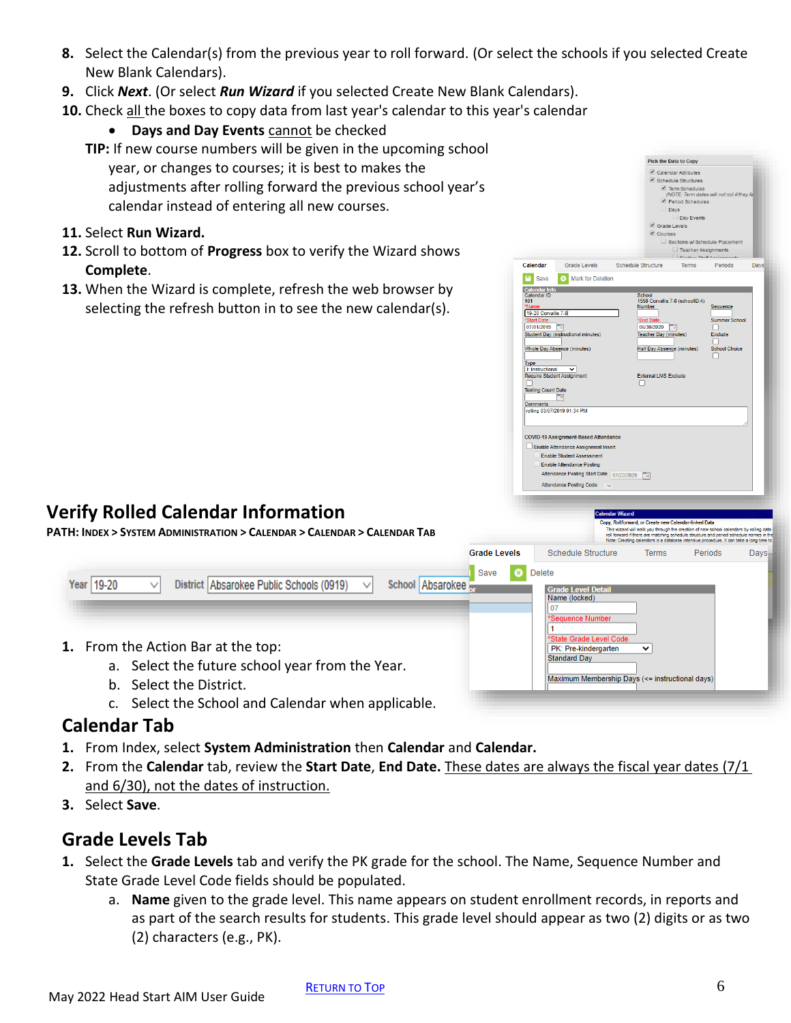- **8.** Select the Calendar(s) from the previous year to roll forward. (Or select the schools if you selected Create New Blank Calendars).
- **9.** Click *Next*. (Or select *Run Wizard* if you selected Create New Blank Calendars).
- **10.** Check all the boxes to copy data from last year's calendar to this year's calendar
	- **Days and Day Events** cannot be checked
	- **TIP:** If new course numbers will be given in the upcoming school year, or changes to courses; it is best to makes the adjustments after rolling forward the previous school year's calendar instead of entering all new courses.
- **11.** Select **Run Wizard.**
- **12.** Scroll to bottom of **Progress** box to verify the Wizard shows **Complete**.
- **13.** When the Wizard is complete, refresh the web browser by selecting the refresh button in to see the new calendar(s).



**PATH: INDEX > SYSTEM ADMINISTRATION > CALENDAR > CALENDAR > CALENDAR TAB**

|                                                                                                                                                                     | Grade Levels | <b>Schedule Structure</b>                                                                                                 | <b>Terms</b> | Periods<br>$Davs -$ |
|---------------------------------------------------------------------------------------------------------------------------------------------------------------------|--------------|---------------------------------------------------------------------------------------------------------------------------|--------------|---------------------|
| District Absarokee Public Schools (0919)<br>Year   19-20<br>School Absarokee<br>◡                                                                                   | Save         | <b>Delete</b><br><b>Grade Level Detail</b><br>Name (locked)<br>*Sequence Number                                           |              |                     |
| 1. From the Action Bar at the top:<br>a. Select the future school year from the Year.<br>b. Select the District.<br>Select the School and Calendar when applicable. |              | *State Grade Level Code<br>PK: Pre-kindergarten<br><b>Standard Day</b><br>Maximum Membership Days (<= instructional days) | $\check{ }$  |                     |

#### **Calendar Tab**

- **1.** From Index, select **System Administration** then **Calendar** and **Calendar.**
- **2.** From the **Calendar** tab, review the **Start Date**, **End Date.** These dates are always the fiscal year dates (7/1 and 6/30), not the dates of instruction.
- **3.** Select **Save**.

### **Grade Levels Tab**

- **1.** Select the **Grade Levels** tab and verify the PK grade for the school. The Name, Sequence Number and State Grade Level Code fields should be populated.
	- a. **Name** given to the grade level. This name appears on student enrollment records, in reports and as part of the search results for students. This grade level should appear as two (2) digits or as two (2) characters (e.g., PK).

Pick the Data to Copy Calendar Attributes Schedule Structures

Grade Levels

Save 8 Mark for Deletion

Calendar

Calendar Info<br>Calendar ID<br>101

19-20 Corvallis 7-8

"Start Date<br>07/01/2019<br>Student Day (instru

**Testing Count Date**  $\mathbb{E}$ Comments olling 03/07/2019 01:34 PM

Type

Whole Day Absence (minutes)

I: Instructional V<br>Require Student Assignment

**COVID-19 Assignment-Based Attendance** Enable Attendance Assignment Insert Enable Student Assessment Enable Attendance Posting

Attendance Posting Start Date 07/22/2020 Attendance Posting Code

Schedule Structure

chedule Structures<br>
2 Term Schedules<br>
MOTE: Term dates will not roll if the<br>
2 Period Schedules<br>
3 Days Day Events Grade Levels Courses

Sanses<br>
Sections w/ Schedule Placem  $\Box$  Teacher Assignments

Terms

School<br>1558 Corvallis 7-8 (schoolID:4)

 $\frac{4 \text{End Date}}{06/30/2020}$ Teacher Day (mi

Half Day Absence (minutes)

**External LMS Exclude** 

ward, or Create new Calendar-lin , ,<br>This wizard will walk you through the creation of new sohool calendars by rolling<br>oll forward if there are matching schedule structure and period schedule names<br>lote: Creating calendars is a database intensive procedur

Periods

Summer Sc

Da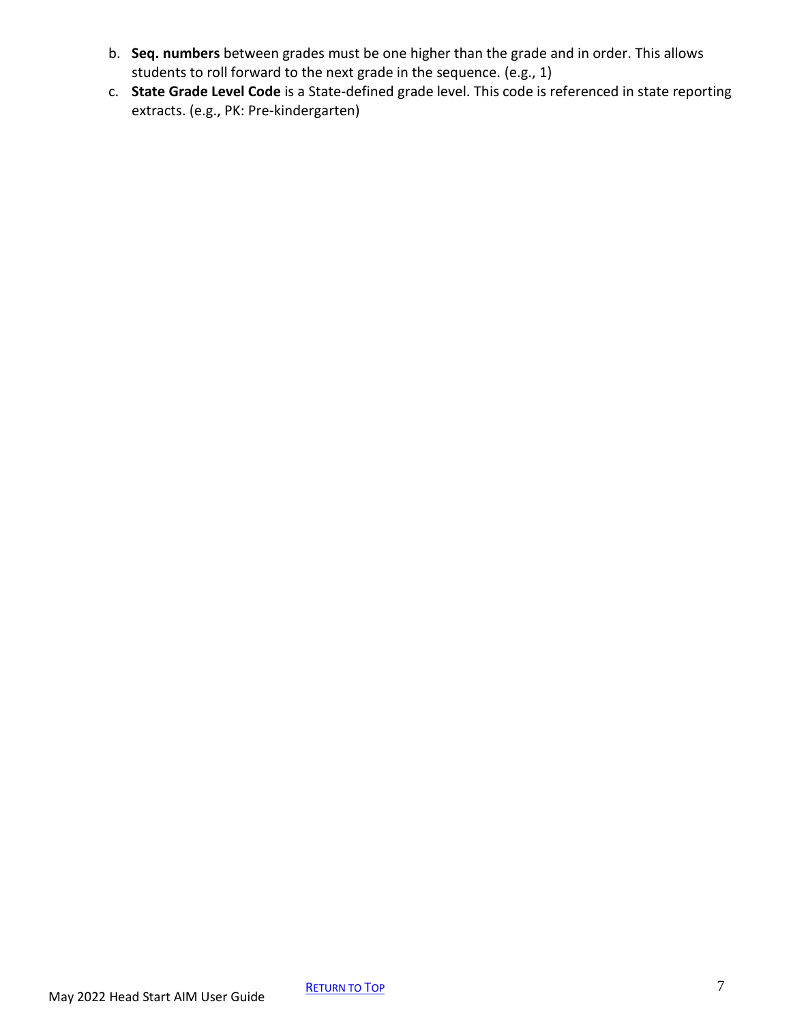- b. **Seq. numbers** between grades must be one higher than the grade and in order. This allows students to roll forward to the next grade in the sequence. (e.g., 1)
- c. **State Grade Level Code** is a State-defined grade level. This code is referenced in state reporting extracts. (e.g., PK: Pre-kindergarten)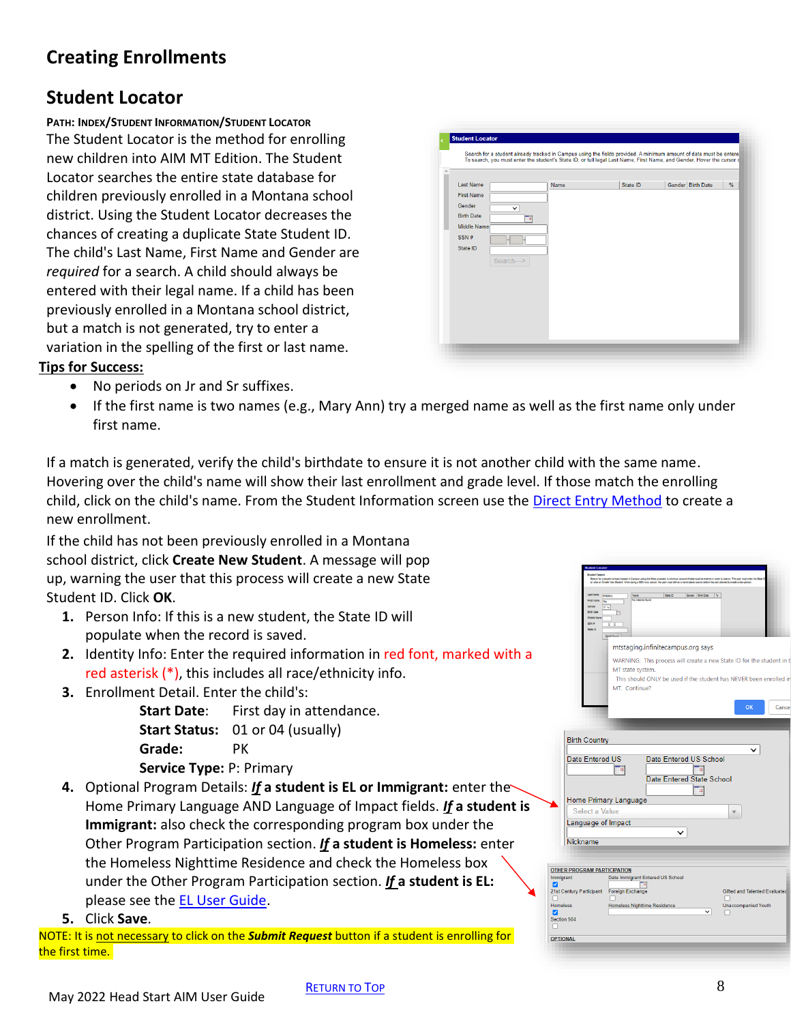May 2022 Head Start AIM User Guide

# <span id="page-7-0"></span>**Creating Enrollments**

# **Student Locator**

**PATH: INDEX/STUDENT INFORMATION/STUDENT LOCATOR** The Student Locator is the method for enrolling new children into AIM MT Edition. The Student Locator searches the entire state database for children previously enrolled in a Montana school district. Using the Student Locator decreases the chances of creating a duplicate State Student ID. The child's Last Name, First Name and Gender are *required* for a search. A child should always be entered with their legal name. If a child has been previously enrolled in a Montana school district, but a match is not generated, try to enter a variation in the spelling of the first or last name.

#### **Tips for Success:**

- No periods on Jr and Sr suffixes.
- If the first name is two names (e.g., Mary Ann) try a merged name as well as the first name only under first name.

If a match is generated, verify the child's birthdate to ensure it is not another child with the same name. Hovering over the child's name will show their last enrollment and grade level. If those match the enrolling child, click on the child's name. From the Student Information screen use the [Direct Entry Method](#page-7-1) to create a new enrollment.

If the child has not been previously enrolled in a Montana school district, click **Create New Student**. A message will pop up, warning the user that this process will create a new State Student ID. Click **OK**.

- **1.** Person Info: If this is a new student, the State ID will populate when the record is saved.
- **2.** Identity Info: Enter the required information in red font, marked with a red asterisk (\*), this includes all race/ethnicity info.
- **3.** Enrollment Detail. Enter the child's:

**Start Date:** First day in attendance. **Start Status:** 01 or 04 (usually) **Grade:** PK **Service Type:** P: Primary

- **4.** Optional Program Details: *If* **a student is EL or Immigrant:** enter the Home Primary Language AND Language of Impact fields. *If* **a student is Immigrant:** also check the corresponding program box under the Other Program Participation section. *If* **a student is Homeless:** enter the Homeless Nighttime Residence and check the Homeless box under the Other Program Participation section. *If* **a student is EL:** please see the **EL User Guide**.
- **5.** Click **Save**.

NOTE: It is not necessary to click on the *Submit Request* button if a student is enrolling for the first time.

| Gender Birth Date<br>State ID<br>%<br>Name |
|--------------------------------------------|
|                                            |
|                                            |
|                                            |
|                                            |
|                                            |
|                                            |
|                                            |
|                                            |
|                                            |
|                                            |
|                                            |
|                                            |
|                                            |
|                                            |

<span id="page-7-1"></span>

|                                                            | <b>Last Name</b><br><b>Rote O</b><br>Gender Birth Date %<br><b>Bradbury</b><br>Name<br>No matches found<br>Ra-<br>M <sub>V</sub><br><b>RAN B</b><br>Ю                                                                                                  |
|------------------------------------------------------------|--------------------------------------------------------------------------------------------------------------------------------------------------------------------------------------------------------------------------------------------------------|
|                                                            | State ID<br>Search<br>mtstaging.infinitecampus.org says<br>WARNING: This process will create a new State ID for the student in t<br>MT state system.<br>This should ONLY be used if the student has NEVER been enrolled in<br>MT. Continue?            |
|                                                            | <b>OK</b><br>Cancel<br><b>Birth Country</b>                                                                                                                                                                                                            |
|                                                            | <b>Date Entered US</b><br>Date Entered US School<br>Ta.<br>Ta.<br>Date Entered State School<br>T a<br>Home Primary Language                                                                                                                            |
|                                                            | Select a Value                                                                                                                                                                                                                                         |
|                                                            | Language of Impact                                                                                                                                                                                                                                     |
| Nickname                                                   |                                                                                                                                                                                                                                                        |
| Immigrant<br>ø<br>n<br><b>Homeless</b><br>Ø<br>Section 504 | <b>OTHER PROGRAM PARTICIPATION</b><br>Date Immigrant Entered US School<br>Пm<br>21st Century Participant Foreign Exchange<br><b>Gifted and Talented Evaluated</b><br><b>Homeless Nighttime Residence</b><br><b>Unaccompanied Youth</b><br>$\checkmark$ |
| г                                                          |                                                                                                                                                                                                                                                        |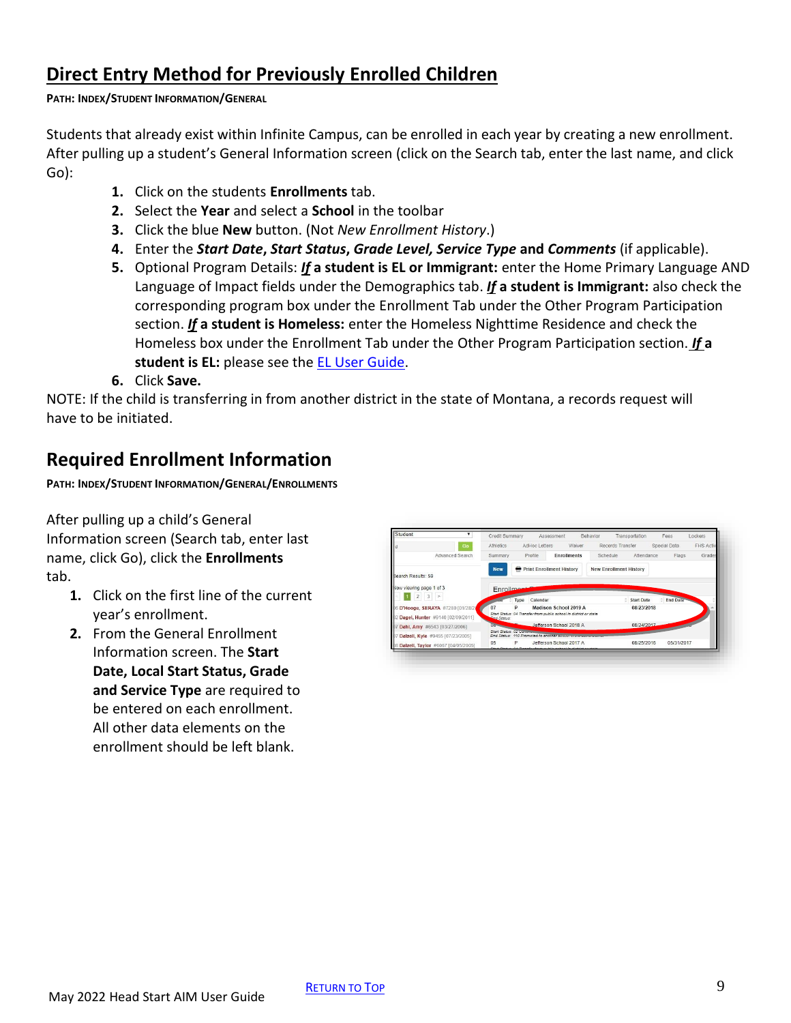### <span id="page-8-0"></span>**Direct Entry Method for Previously Enrolled Children**

#### **PATH: INDEX/STUDENT INFORMATION/GENERAL**

Students that already exist within Infinite Campus, can be enrolled in each year by creating a new enrollment. After pulling up a student's General Information screen (click on the Search tab, enter the last name, and click Go):

- **1.** Click on the students **Enrollments** tab.
- **2.** Select the **Year** and select a **School** in the toolbar
- **3.** Click the blue **New** button. (Not *New Enrollment History*.)
- **4.** Enter the *Start Date***,** *Start Status***,** *Grade Level, Service Type* **and** *Comments* (if applicable).
- **5.** Optional Program Details: *If* **a student is EL or Immigrant:** enter the Home Primary Language AND Language of Impact fields under the Demographics tab. *If* **a student is Immigrant:** also check the corresponding program box under the Enrollment Tab under the Other Program Participation section. *If* **a student is Homeless:** enter the Homeless Nighttime Residence and check the Homeless box under the Enrollment Tab under the Other Program Participation section. *If* **a**  student is EL: please see the **EL User Guide**.
- **6.** Click **Save.**

NOTE: If the child is transferring in from another district in the state of Montana, a records request will have to be initiated.

### **Required Enrollment Information**

**PATH: INDEX/STUDENT INFORMATION/GENERAL/ENROLLMENTS**

After pulling up a child's General Information screen (Search tab, enter last name, click Go), click the **Enrollments** tab.

- **1.** Click on the first line of the current year's enrollment.
- **2.** From the General Enrollment Information screen. The **Start Date, Local Start Status, Grade and Service Type** are required to be entered on each enrollment. All other data elements on the enrollment should be left blank.

| Student                                                               | Credit Summary         |                  | <b>Assessment</b>                                                 | Behavior | Transportation                | Fees            | Lockers   |
|-----------------------------------------------------------------------|------------------------|------------------|-------------------------------------------------------------------|----------|-------------------------------|-----------------|-----------|
| Go<br>ld                                                              | Athletics              | AdHoc Letters    | Waiver                                                            |          | Records Transfer              | Special Data    | FHS Activ |
| Advanced Search                                                       | Summary                | Profile          | <b>Enrollments</b>                                                | Schedule | Attendance                    | Flags           | Grades    |
| Search Results: 59                                                    | <b>New</b>             | ⇔                | <b>Print Enrollment History</b>                                   |          | <b>New Enrollment History</b> |                 |           |
|                                                                       |                        |                  |                                                                   |          |                               |                 |           |
| Now viewing page 1 of 3                                               |                        |                  |                                                                   |          |                               |                 |           |
| 3<br><b>I</b> w                                                       | <b>Enrollmon</b>       | Calendar<br>Type |                                                                   |          | <b>Start Date</b>             | <b>End Date</b> |           |
|                                                                       | 07                     | D                | Madison School 2019 A                                             |          | 08/23/2018                    |                 |           |
| Dagel, Hunter #9140 (02/09/2011)                                      | <b>End Status:</b>     |                  | Start Status: 04 Transfer from public school in district or state |          |                               |                 |           |
| Dahl, Amy #6543 [03/27/2006]                                          | Distances              |                  | Jefferson School 2018 A                                           |          | 08/24/2017                    |                 |           |
| 6 D'Hooge, SERAYA #7280 [01/28/20<br>Dalzell, Kyle #9455 [07/23/2005] | Start Status: 02 traum |                  | End Status: 110 Promoted to another company of                    |          |                               |                 |           |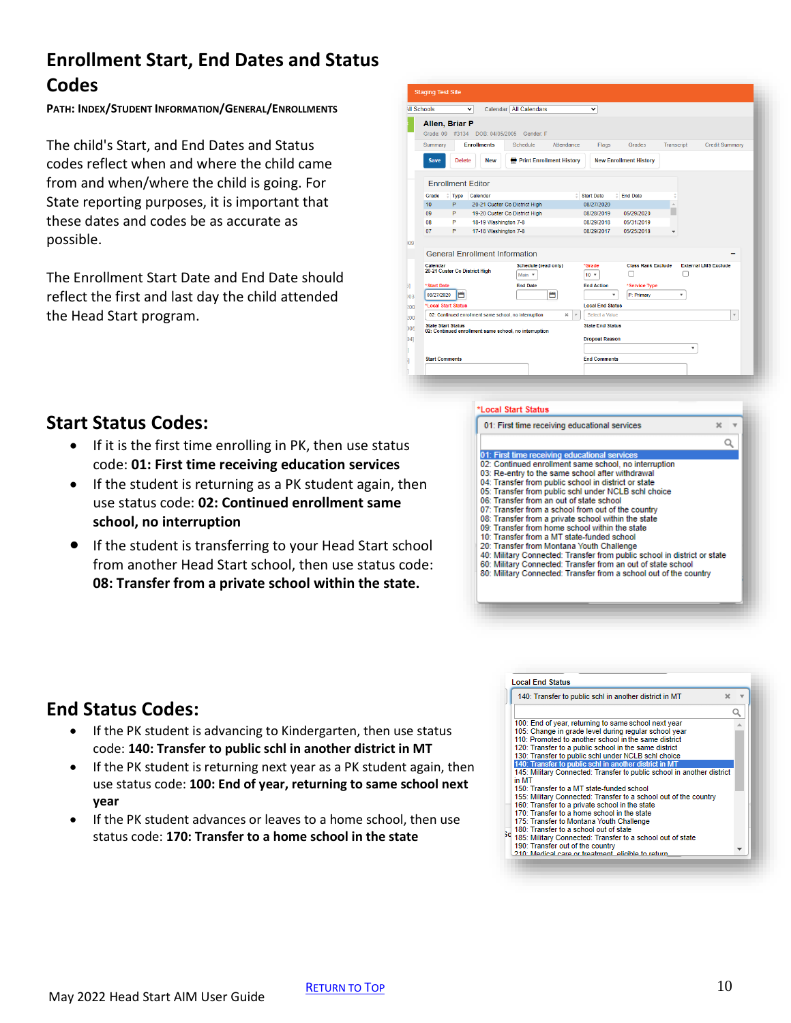# <span id="page-9-0"></span>**Enrollment Start, End Dates and Status Codes**

**PATH: INDEX/STUDENT INFORMATION/GENERAL/ENROLLMENTS**

The child's Start, and End Dates and Status codes reflect when and where the child came from and when/where the child is going. For State reporting purposes, it is important that these dates and codes be as accurate as possible.

The Enrollment Start Date and End Date should reflect the first and last day the child attended the Head Start program.

| <b>All Schools</b> |                                   | $\check{ }$                                           | Calendar All Calendars                                | $\checkmark$                   |                                            |                          |                             |
|--------------------|-----------------------------------|-------------------------------------------------------|-------------------------------------------------------|--------------------------------|--------------------------------------------|--------------------------|-----------------------------|
|                    | Allen, Briar P<br>Grade: 09 #3134 | DOB: 04/05/2005                                       | Gender: F                                             |                                |                                            |                          |                             |
| Summary            |                                   | <b>Enrollments</b>                                    | Attendance<br>Schedule                                | Flags                          | Grades                                     | Transcript               | <b>Credit Summary</b>       |
| <b>Save</b>        | Delete                            | <b>New</b>                                            | <b>Print Enrollment History</b>                       |                                | <b>New Enrollment History</b>              |                          |                             |
|                    |                                   | <b>Enrollment Editor</b>                              |                                                       |                                |                                            |                          |                             |
| Grade              | ÷                                 | Type Calendar                                         |                                                       | ê.<br><b>Start Date</b>        | <sup><math>\triangle</math></sup> End Date |                          |                             |
| 10                 | P                                 |                                                       | 20-21 Custer Co District High                         | 08/27/2020                     |                                            | Á                        |                             |
| 09                 | P                                 |                                                       | 19-20 Custer Co District High                         | 08/28/2019                     | 05/29/2020                                 |                          |                             |
| 08                 | P                                 | 18-19 Washington 7-8                                  |                                                       | 08/29/2018                     | 05/31/2019                                 |                          |                             |
| 07                 | P                                 | 17-18 Washington 7-8                                  |                                                       | 08/29/2017                     | 05/25/2018                                 | $\overline{\phantom{a}}$ |                             |
|                    |                                   |                                                       |                                                       |                                |                                            |                          |                             |
|                    |                                   | <b>General Enrollment Information</b>                 |                                                       |                                |                                            |                          |                             |
| Calendar           |                                   | 20-21 Custer Co District High                         | Schedule (read only)<br>Main <b>v</b>                 | *Grade<br>10 <sub>7</sub>      | <b>Class Rank Exclude</b>                  |                          | <b>External LMS Exclude</b> |
| *Start Date        |                                   |                                                       | <b>End Date</b>                                       | <b>End Action</b>              | *Service Type                              |                          |                             |
| 08/27/2020         | m                                 |                                                       | 台                                                     | ۰                              | P: Primary                                 | ۷                        |                             |
|                    | *Local Start Status               |                                                       |                                                       | <b>Local End Status</b>        |                                            |                          |                             |
|                    |                                   | 02: Continued enrollment same school, no interruption | $\infty$                                              | $\mathbf{v}$<br>Select a Value |                                            |                          | $\mathbf{v}$                |
|                    | <b>State Start Status</b>         |                                                       | 02: Continued enrollment same school, no interruption | <b>State End Status</b>        |                                            |                          |                             |
|                    |                                   |                                                       |                                                       | <b>Dropout Reason</b>          |                                            |                          |                             |
|                    |                                   |                                                       |                                                       |                                |                                            | ۰                        |                             |
|                    | <b>Start Comments</b>             |                                                       |                                                       | <b>End Comments</b>            |                                            |                          |                             |

#### **Start Status Codes:**

- If it is the first time enrolling in PK, then use status code: **01: First time receiving education services**
- If the student is returning as a PK student again, then use status code: **02: Continued enrollment same school, no interruption**
- If the student is transferring to your Head Start school from another Head Start school, then use status code: **08: Transfer from a private school within the state.**

#### **Local Start Status**

#### 01: First time receiving educational services

- 01: First time receiving educational services<br>02: Continued enrollment same school, no interruption
- 03: Re-entry to the same school after withdrawal
- 04: Transfer from public school in district or state
- 05: Transfer from public schl under NCLB schl choice
- 06: Transfer from an out of state school
- 07: Transfer from a school from out of the country
- 08: Transfer from a private school within the state 09: Transfer from home school within the state
- 10: Transfer from a MT state-funded school
- 20: Transfer from Montana Youth Challenge
- 40: Military Connected: Transfer from public school in district or state
- 60: Military Connected: Transfer from an out of state school
- 80: Military Connected: Transfer from a school out of the country

# **End Status Codes:**

- If the PK student is advancing to Kindergarten, then use status code: **140: Transfer to public schl in another district in MT**
- If the PK student is returning next year as a PK student again, then use status code: **100: End of year, returning to same school next year**
- If the PK student advances or leaves to a home school, then use status code: **170: Transfer to a home school in the state**

| 140: Transfer to public schl in another district in MT                 | 5č |  |
|------------------------------------------------------------------------|----|--|
|                                                                        |    |  |
| 100: End of year, returning to same school next year                   |    |  |
| 105: Change in grade level during regular school year                  |    |  |
| 110: Promoted to another school in the same district                   |    |  |
| 120: Transfer to a public school in the same district                  |    |  |
| 130: Transfer to public schl under NCLB schl choice                    |    |  |
| 140: Transfer to public schl in another district in MT                 |    |  |
| 145: Military Connected: Transfer to public school in another district |    |  |
| in MT                                                                  |    |  |
| 150: Transfer to a MT state-funded school                              |    |  |
| 155: Military Connected: Transfer to a school out of the country       |    |  |
| 160: Transfer to a private school in the state                         |    |  |
| 170: Transfer to a home school in the state                            |    |  |
| 175: Transfer to Montana Youth Challenge                               |    |  |
| 180: Transfer to a school out of state                                 |    |  |
| 30 180. Hansler to a senior. Service a school out of state             |    |  |
| 190: Transfer out of the country                                       |    |  |
| 210: Medical care or treatment, eligible to return.                    |    |  |

 $\mathbf{x}$ Q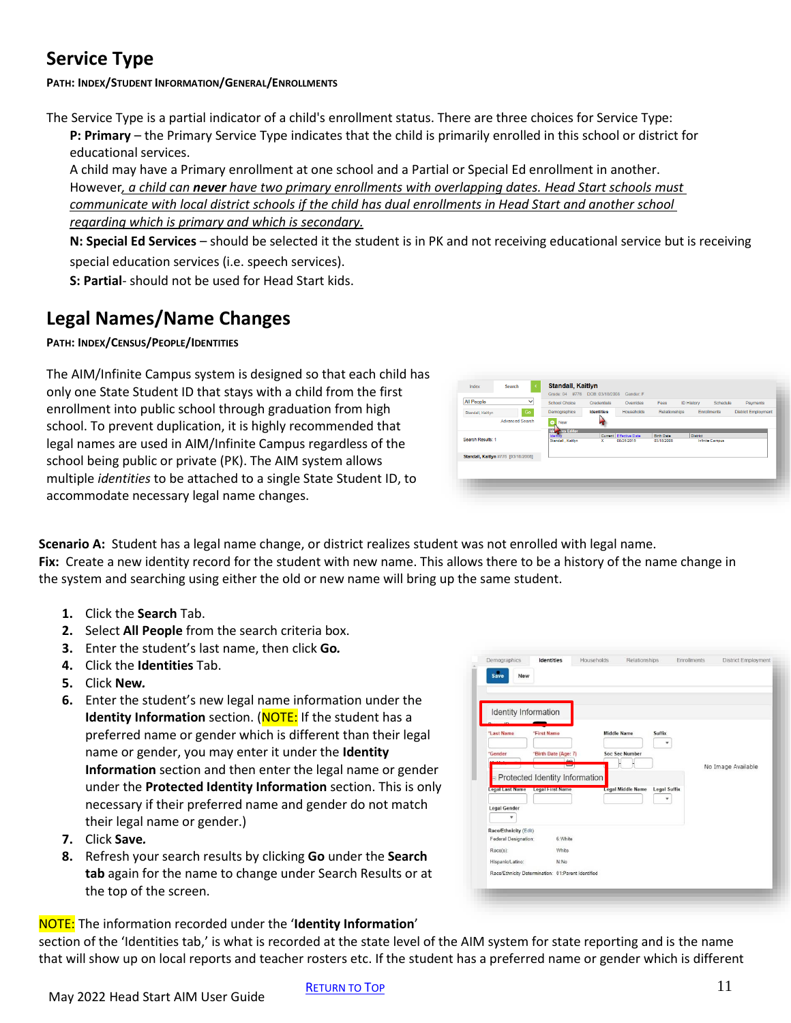# <span id="page-10-0"></span>**Service Type**

**PATH: INDEX/STUDENT INFORMATION/GENERAL/ENROLLMENTS**

The Service Type is a partial indicator of a child's enrollment status. There are three choices for Service Type: **P: Primary** – the Primary Service Type indicates that the child is primarily enrolled in this school or district for educational services.

A child may have a Primary enrollment at one school and a Partial or Special Ed enrollment in another. However*, a child can never have two primary enrollments with overlapping dates. Head Start schools must communicate with local district schools if the child has dual enrollments in Head Start and another school regarding which is primary and which is secondary.*

**N: Special Ed Services** – should be selected it the student is in PK and not receiving educational service but is receiving special education services (i.e. speech services).

**S: Partial**- should not be used for Head Start kids.

# <span id="page-10-1"></span>**Legal Names/Name Changes**

#### **PATH: INDEX/CENSUS/PEOPLE/IDENTITIES**

The AIM/Infinite Campus system is designed so that each child has only one State Student ID that stays with a child from the first enrollment into public school through graduation from high school. To prevent duplication, it is highly recommended that legal names are used in AIM/Infinite Campus regardless of the school being public or private (PK). The AIM system allows multiple *identities* to be attached to a single State Student ID, to accommodate necessary legal name changes.



**Scenario A:** Student has a legal name change, or district realizes student was not enrolled with legal name. **Fix:** Create a new identity record for the student with new name. This allows there to be a history of the name change in the system and searching using either the old or new name will bring up the same student.

- **1.** Click the **Search** Tab.
- **2.** Select **All People** from the search criteria box.
- **3.** Enter the student's last name, then click **Go***.*
- **4.** Click the **Identities** Tab.
- **5.** Click **New***.*
- **6.** Enter the student's new legal name information under the **Identity Information** section. (NOTE: If the student has a preferred name or gender which is different than their legal name or gender, you may enter it under the **Identity Information** section and then enter the legal name or gender under the **Protected Identity Information** section. This is only necessary if their preferred name and gender do not match their legal name or gender.)
- **7.** Click **Save***.*
- **8.** Refresh your search results by clicking **Go** under the **Search tab** again for the name to change under Search Results or at the top of the screen.

NOTE: The information recorded under the '**Identity Information**'

section of the 'Identities tab,' is what is recorded at the state level of the AIM system for state reporting and is the name that will show up on local reports and teacher rosters etc. If the student has a preferred name or gender which is different

| No Image Available |
|--------------------|
|                    |
|                    |
|                    |
|                    |
|                    |
|                    |
|                    |
|                    |
|                    |
|                    |
|                    |
|                    |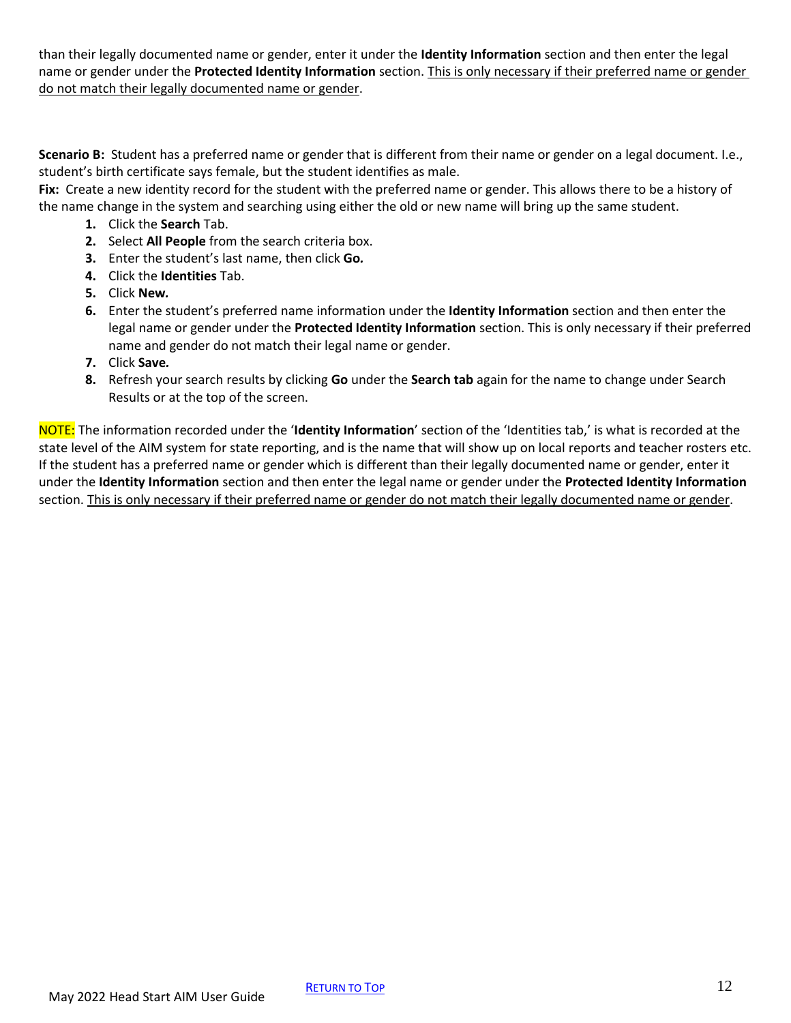than their legally documented name or gender, enter it under the **Identity Information** section and then enter the legal name or gender under the **Protected Identity Information** section. This is only necessary if their preferred name or gender do not match their legally documented name or gender.

**Scenario B:** Student has a preferred name or gender that is different from their name or gender on a legal document. I.e., student's birth certificate says female, but the student identifies as male.

**Fix:** Create a new identity record for the student with the preferred name or gender. This allows there to be a history of the name change in the system and searching using either the old or new name will bring up the same student.

- **1.** Click the **Search** Tab.
- **2.** Select **All People** from the search criteria box.
- **3.** Enter the student's last name, then click **Go***.*
- **4.** Click the **Identities** Tab.
- **5.** Click **New***.*
- **6.** Enter the student's preferred name information under the **Identity Information** section and then enter the legal name or gender under the **Protected Identity Information** section. This is only necessary if their preferred name and gender do not match their legal name or gender.
- **7.** Click **Save***.*
- **8.** Refresh your search results by clicking **Go** under the **Search tab** again for the name to change under Search Results or at the top of the screen.

NOTE: The information recorded under the '**Identity Information**' section of the 'Identities tab,' is what is recorded at the state level of the AIM system for state reporting, and is the name that will show up on local reports and teacher rosters etc. If the student has a preferred name or gender which is different than their legally documented name or gender, enter it under the **Identity Information** section and then enter the legal name or gender under the **Protected Identity Information** section. This is only necessary if their preferred name or gender do not match their legally documented name or gender.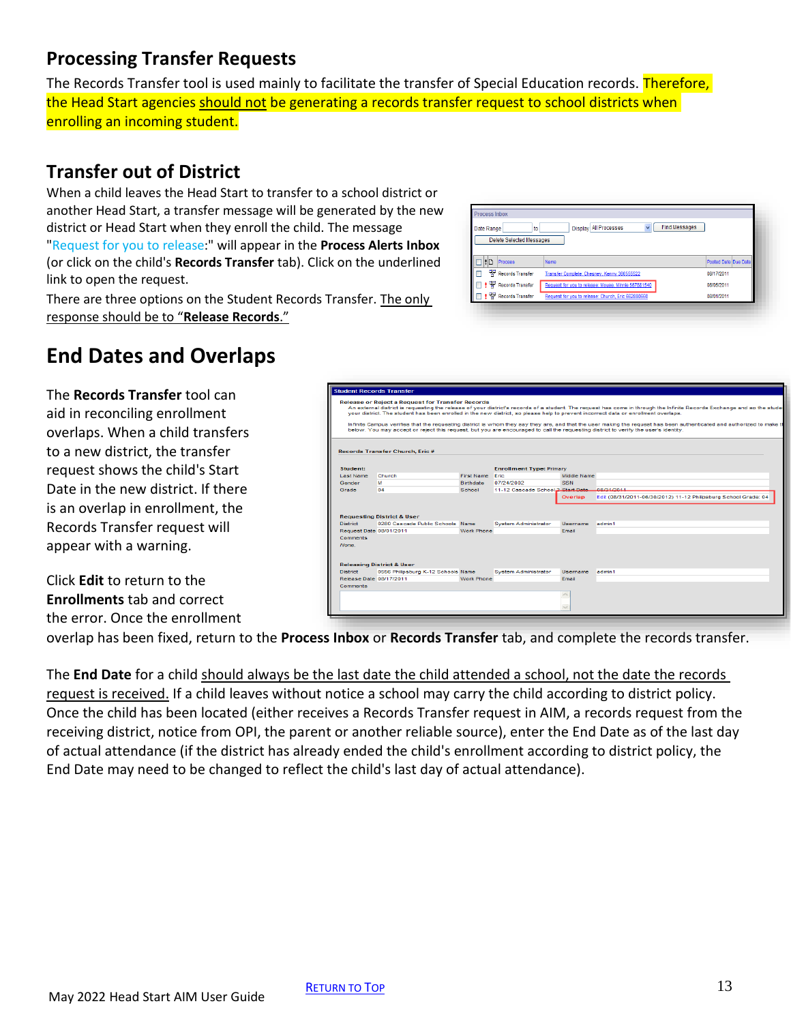### <span id="page-12-0"></span>**Processing Transfer Requests**

The Records Transfer tool is used mainly to facilitate the transfer of Special Education records. Therefore, the Head Start agencies should not be generating a records transfer request to school districts when enrolling an incoming student.

#### **Transfer out of District**

When a child leaves the Head Start to transfer to a school district or another Head Start, a transfer message will be generated by the new district or Head Start when they enroll the child. The message "Request for you to release:" will appear in the **Process Alerts Inbox** (or click on the child's **Records Transfer** tab). Click on the underlined link to open the request.

There are three options on the Student Records Transfer. The only response should be to "**Release Records**."

#### v Find Messages Display All Processes Date Range to Delete Selected Messages  $\Box$  :  $\Box$  Process Posted Date Due Da **PE Records Transfer** Transfer Complete: Chesney, Kenny 36 T | 땧 Records Transfer 08/05/2011 08/01/2011

# <span id="page-12-1"></span>**End Dates and Overlaps**

The **Records Transfer** tool can aid in reconciling enrollment overlaps. When a child transfers to a new district, the transfer request shows the child's Start Date in the new district. If there is an overlap in enrollment, the Records Transfer request will appear with a warning.

Click **Edit** to return to the **Enrollments** tab and correct the error. Once the enrollment

|                         | <b>Release or Reject a Request for Transfer Records</b> |                   |                                   |             | An external district is requesting the release of your district's records of a student. The request has come in through the Infinite Records Exchange and so the studen<br>vour district. The student has been enrolled in the new district, so please help to prevent incorrect data or enrollment overlaps.  |
|-------------------------|---------------------------------------------------------|-------------------|-----------------------------------|-------------|----------------------------------------------------------------------------------------------------------------------------------------------------------------------------------------------------------------------------------------------------------------------------------------------------------------|
|                         |                                                         |                   |                                   |             | Infinite Campus verifies that the requesting district is whom they say they are, and that the user making the request has been authenticated and authorized to make the<br>below. You may accept or reject this request, but you are encouraged to call the requesting district to verify the user's identity. |
|                         | Records Transfer Church, Eric #                         |                   |                                   |             |                                                                                                                                                                                                                                                                                                                |
| Student:                |                                                         |                   | <b>Enrollment Type: Primary</b>   |             |                                                                                                                                                                                                                                                                                                                |
| Last Name               | Church                                                  | First Name Eric   |                                   | Middle Name |                                                                                                                                                                                                                                                                                                                |
| Gender                  | <b>DA</b>                                               | Birthdate         | 07/24/2002                        | <b>SSN</b>  |                                                                                                                                                                                                                                                                                                                |
| Grade                   | 04                                                      | School            | 11-12 Cascade School 2 Start Date |             | 08/21/2011                                                                                                                                                                                                                                                                                                     |
|                         |                                                         |                   |                                   | Overlap     | Edit (08/31/2011-06/30/2012) 11-12 Philipsburg School Grade: 04                                                                                                                                                                                                                                                |
|                         | <b>Requesting District &amp; User</b>                   |                   |                                   |             |                                                                                                                                                                                                                                                                                                                |
| <b>District</b>         | 0280 Cascade Public Schools Name                        |                   | System Administrator              | Username    | admin1                                                                                                                                                                                                                                                                                                         |
| Request Date 08/01/2011 |                                                         | <b>Work Phone</b> |                                   | Email       |                                                                                                                                                                                                                                                                                                                |
| Comments<br>None.       |                                                         |                   |                                   |             |                                                                                                                                                                                                                                                                                                                |
|                         | <b>Releasing District &amp; User</b>                    |                   |                                   |             |                                                                                                                                                                                                                                                                                                                |
| <b>District</b>         | 0556 Philipsburg K-12 Schools Name                      |                   | <b>System Administrator</b>       | Username    | admin1                                                                                                                                                                                                                                                                                                         |
| Release Date 08/17/2011 |                                                         | Work Phone        |                                   | Fmail       |                                                                                                                                                                                                                                                                                                                |
| <b>Comments</b>         |                                                         |                   |                                   |             |                                                                                                                                                                                                                                                                                                                |
|                         |                                                         |                   |                                   |             |                                                                                                                                                                                                                                                                                                                |

Process Inbox

overlap has been fixed, return to the **Process Inbox** or **Records Transfer** tab, and complete the records transfer.

The **End Date** for a child should always be the last date the child attended a school, not the date the records request is received. If a child leaves without notice a school may carry the child according to district policy. Once the child has been located (either receives a Records Transfer request in AIM, a records request from the receiving district, notice from OPI, the parent or another reliable source), enter the End Date as of the last day of actual attendance (if the district has already ended the child's enrollment according to district policy, the End Date may need to be changed to reflect the child's last day of actual attendance).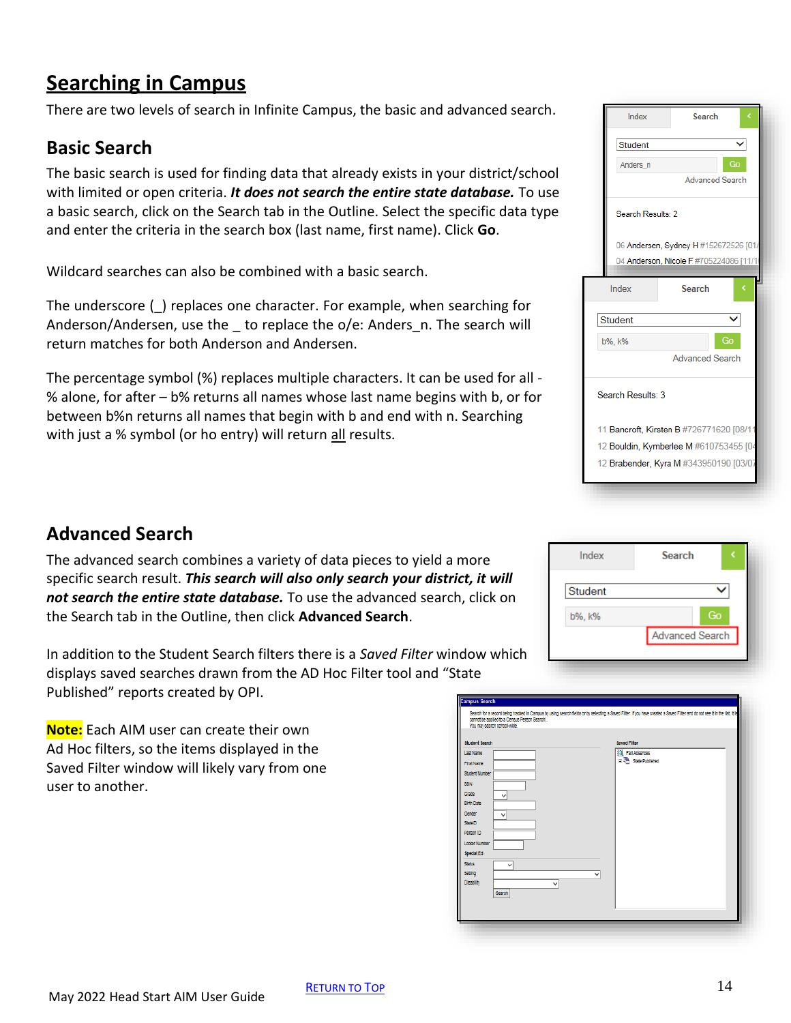# <span id="page-13-0"></span>**Searching in Campus**

There are two levels of search in Infinite Campus, the basic and advanced search.

#### **Basic Search**

The basic search is used for finding data that already exists in your district/school with limited or open criteria. *It does not search the entire state database.* To use a basic search, click on the Search tab in the Outline. Select the specific data type and enter the criteria in the search box (last name, first name). Click **Go**.

Wildcard searches can also be combined with a basic search.

The underscore (\_) replaces one character. For example, when searching for Anderson/Andersen, use the to replace the o/e: Anders n. The search will return matches for both Anderson and Andersen.

The percentage symbol (%) replaces multiple characters. It can be used for all - % alone, for after – b% returns all names whose last name begins with b, or for between b%n returns all names that begin with b and end with n. Searching with just a % symbol (or ho entry) will return all results.

#### Index Search Student ▽ Anders\_n  $Ga$ **Advanced Search** Search Results: 2 06 Andersen, Sydney H #152672526 [01 04 Anderson, Nicole F #705224086 [11/ Index **Search** V Student b%, k% **Advanced Search** Search Results: 3 11 Bancroft, Kirsten B #726771620 [08/1] 12 Bouldin, Kymberlee M #610753455 [04 12 Brabender, Kyra M #343950190 [03/0]

### **Advanced Search**

The advanced search combines a variety of data pieces to yield a more specific search result. *This search will also only search your district, it will not search the entire state database.* To use the advanced search, click on the Search tab in the Outline, then click **Advanced Search**.

In addition to the Student Search filters there is a *Saved Filter* window which displays saved searches drawn from the AD Hoc Filter tool and "State Published" reports created by OPI.

**Note:** Each AIM user can create their own Ad Hoc filters, so the items displayed in the Saved Filter window will likely vary from one user to another.

| Index          | <b>Search</b>          |
|----------------|------------------------|
| <b>Student</b> |                        |
| b%, k%         | Go                     |
|                | <b>Advanced Search</b> |
|                |                        |

| <b>Student Search</b> | <b>Saved Filter</b>    |
|-----------------------|------------------------|
| Last Name             | <b>E</b> Fall Absences |
|                       | E UH State Published   |
| <b>First Name</b>     |                        |
| <b>Student Number</b> |                        |
| SSN                   |                        |
| Grade<br>v            |                        |
| <b>Blirth Date</b>    |                        |
| Gender<br>v           |                        |
| <b>Statello</b>       |                        |
| Person ID             |                        |
| Locker Number         |                        |
| <b>Special Ed</b>     |                        |
| <b>Status</b>         |                        |
| v                     |                        |
| Setting               | v                      |
| Disability<br>v       |                        |
| Search                |                        |
|                       |                        |
|                       |                        |